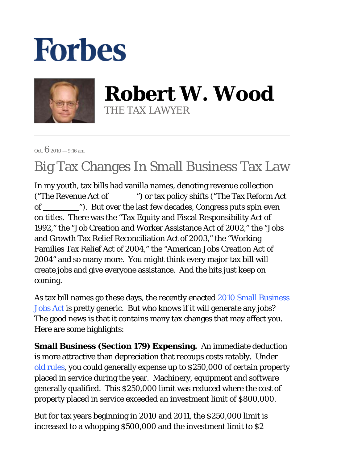# **Forbes**



**Robert W. Wood** THE TAX LAWYER

Oct.  $6_{2010} - 9:16$  am

# Big Tax Changes In Small Business Tax Law

In my youth, tax bills had vanilla names, denoting revenue collection ("The Revenue Act of  $\qquad$ ") or tax policy shifts ("The Tax Reform Act") of "). But over the last few decades, Congress puts spin even on titles. There was the "Tax Equity and Fiscal Responsibility Act of 1992," the "Job Creation and Worker Assistance Act of 2002," the "Jobs and Growth Tax Relief Reconciliation Act of 2003," the "Working Families Tax Relief Act of 2004," the "American Jobs Creation Act of 2004" and so many more. You might think every major tax bill will create jobs and give everyone assistance. And the hits just keep on coming.

As tax bill names go these days, the recently enacted 2010 Small Business Jobs Act is pretty generic. But who knows if it will generate any jobs? The good news is that it contains many tax changes that may affect you. Here are some highlights:

**Small Business (Section 179) Expensing.**An immediate deduction is more attractive than depreciation that recoups costs ratably. Under old rules, you could generally expense up to \$250,000 of certain property placed in service during the year. Machinery, equipment and software generally qualified. This \$250,000 limit was reduced where the cost of property placed in service exceeded an investment limit of \$800,000.

But for tax years beginning in 2010 and 2011, the \$250,000 limit is increased to a whopping \$500,000 and the investment limit to \$2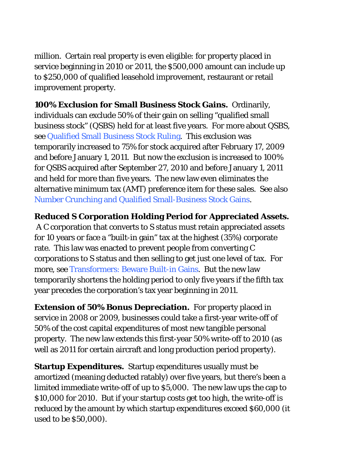million. Certain real property is even eligible: for property placed in service beginning in 2010 or 2011, the \$500,000 amount can include up to \$250,000 of qualified leasehold improvement, restaurant or retail improvement property.

**100% Exclusion for Small Business Stock Gains.** Ordinarily, individuals can exclude 50% of their gain on selling "qualified small business stock" (QSBS) held for at least five years. For more about QSBS, see Qualified Small Business Stock Ruling. This exclusion was temporarily increased to 75% for stock acquired after February 17, 2009 and before January 1, 2011. But now the exclusion is increased to 100% for QSBS acquired after September 27, 2010 and before January 1, 2011 and held for more than five years. The new law even eliminates the alternative minimum tax (AMT) preference item for these sales. See also Number Crunching and Qualified Small-Business Stock Gains.

## **Reduced S Corporation Holding Period for Appreciated Assets.**

 A C corporation that converts to S status must retain appreciated assets for 10 years or face a "built-in gain" tax at the highest (35%) corporate rate. This law was enacted to prevent people from converting C corporations to S status and then selling to get just one level of tax. For more, see Transformers: Beware Built-in Gains. But the new law temporarily shortens the holding period to only five years if the fifth tax year precedes the corporation's tax year beginning in 2011.

**Extension of 50% Bonus Depreciation.** For property placed in service in 2008 or 2009, businesses could take a first-year write-off of 50% of the cost capital expenditures of most new tangible personal property. The new law extends this first-year 50% write-off to 2010 (as well as 2011 for certain aircraft and long production period property).

**Startup Expenditures.** Startup expenditures usually must be amortized (meaning deducted ratably) over five years, but there's been a limited immediate write-off of up to \$5,000. The new law ups the cap to \$10,000 for 2010. But if your startup costs get too high, the write-off is reduced by the amount by which startup expenditures exceed \$60,000 (it used to be \$50,000).